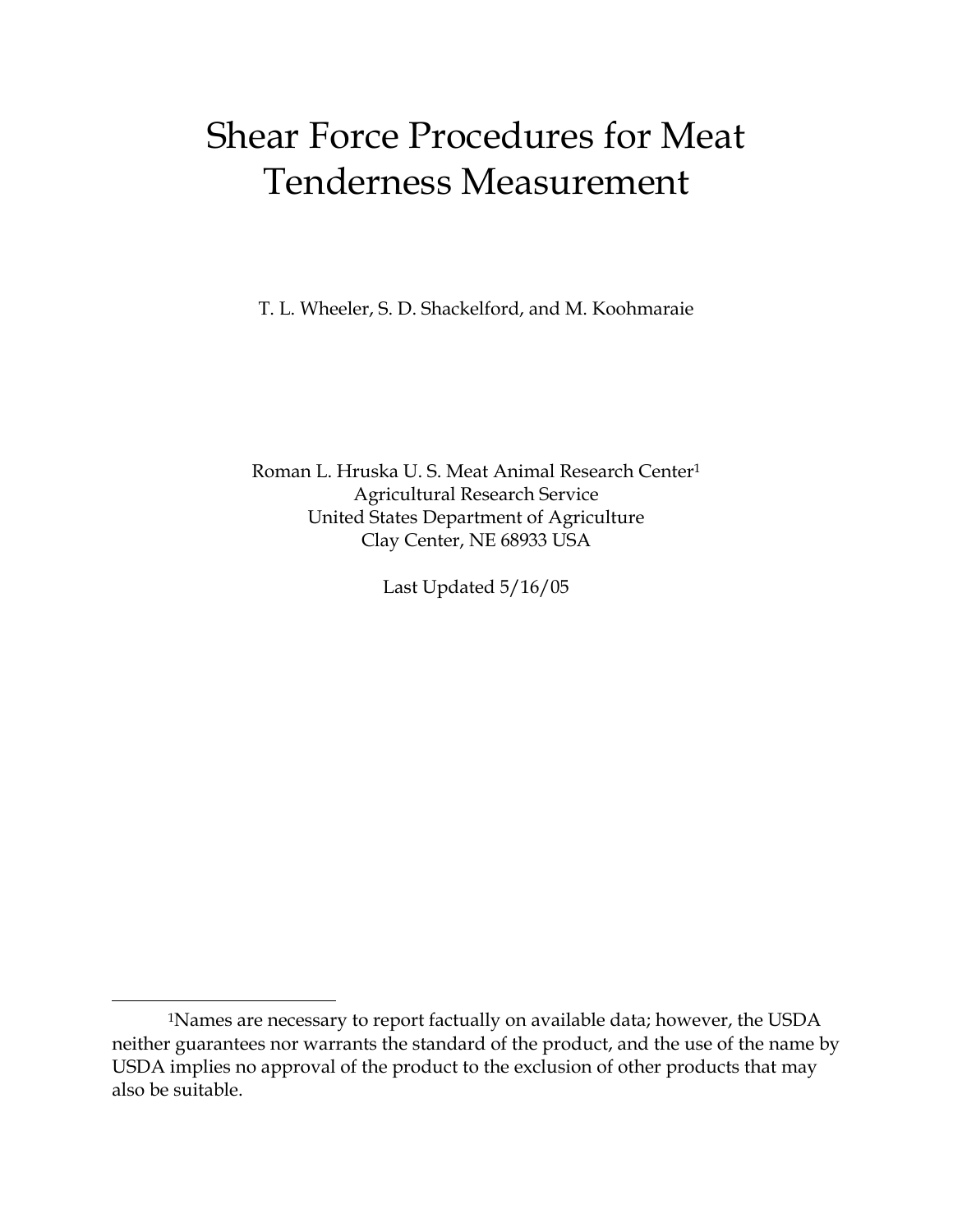# Shear Force Procedures for Meat Tenderness Measurement

T. L. Wheeler, S. D. Shackelford, and M. Koohmaraie

Roman L. Hruska U. S. Meat Animal Research Cente[r1](#page-0-0) Agricultural Research Service United States Department of Agriculture Clay Center, NE 68933 USA

Last Updated 5/16/05

<span id="page-0-0"></span>÷,

 <sup>1</sup>Names are necessary to report factually on available data; however, the USDA neither guarantees nor warrants the standard of the product, and the use of the name by USDA implies no approval of the product to the exclusion of other products that may also be suitable.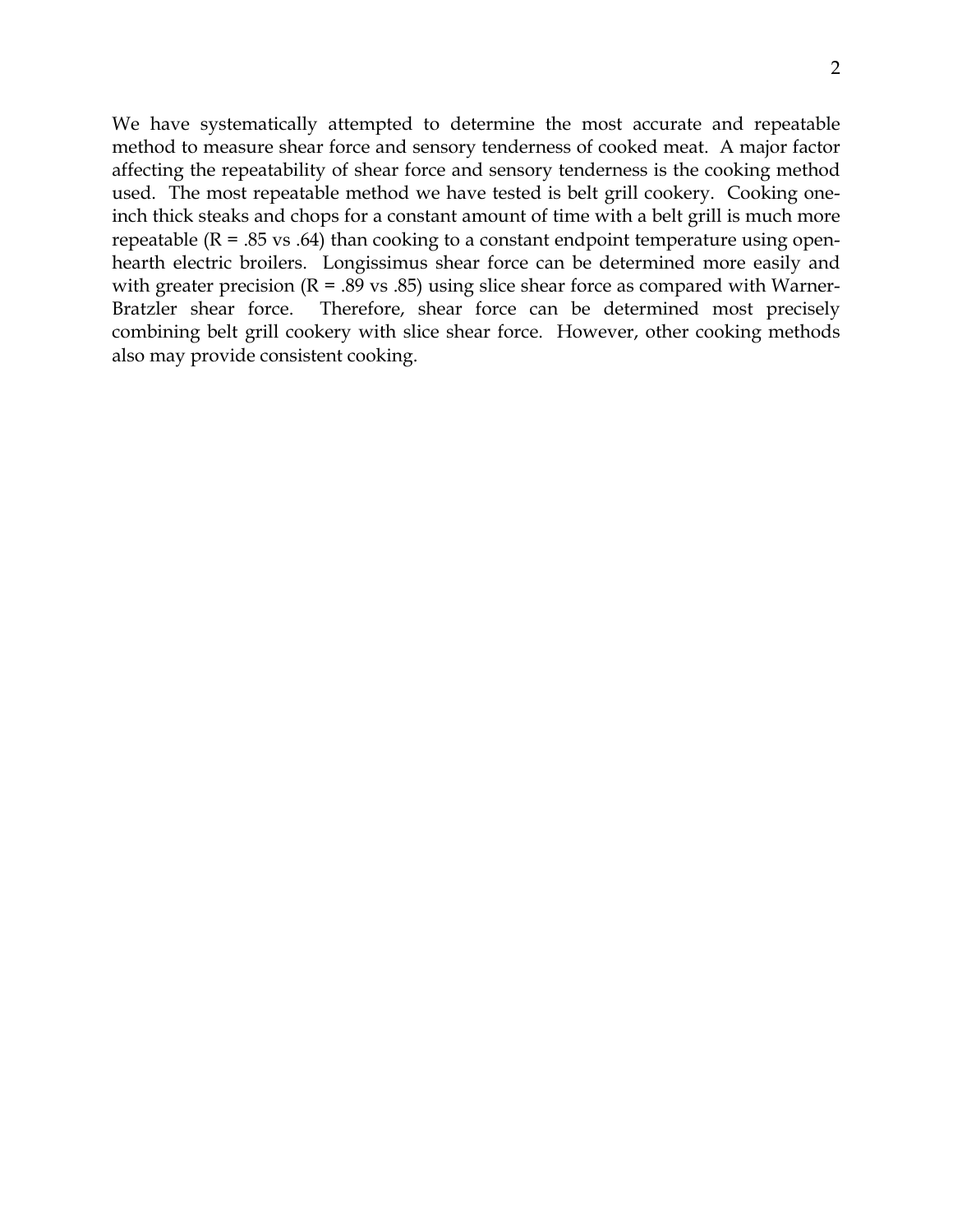2

We have systematically attempted to determine the most accurate and repeatable method to measure shear force and sensory tenderness of cooked meat. A major factor affecting the repeatability of shear force and sensory tenderness is the cooking method used. The most repeatable method we have tested is belt grill cookery. Cooking oneinch thick steaks and chops for a constant amount of time with a belt grill is much more repeatable  $(R = .85 \text{ vs } .64)$  than cooking to a constant endpoint temperature using openhearth electric broilers. Longissimus shear force can be determined more easily and with greater precision ( $R = .89$  vs  $.85$ ) using slice shear force as compared with Warner-Bratzler shear force. Therefore, shear force can be determined most precisely combining belt grill cookery with slice shear force. However, other cooking methods also may provide consistent cooking.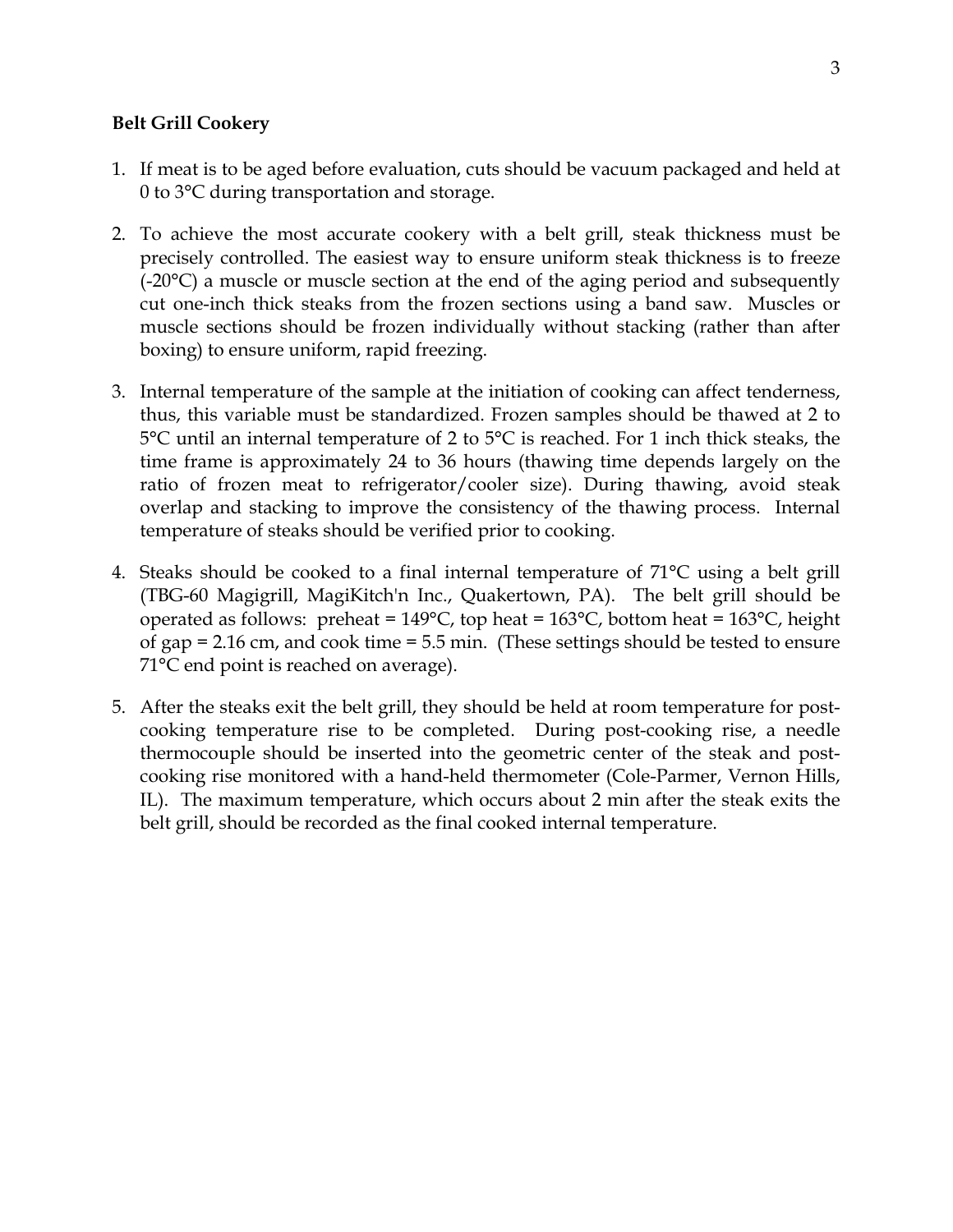### **Belt Grill Cookery**

- 1. If meat is to be aged before evaluation, cuts should be vacuum packaged and held at 0 to 3°C during transportation and storage.
- 2. To achieve the most accurate cookery with a belt grill, steak thickness must be precisely controlled. The easiest way to ensure uniform steak thickness is to freeze (-20°C) a muscle or muscle section at the end of the aging period and subsequently cut one-inch thick steaks from the frozen sections using a band saw. Muscles or muscle sections should be frozen individually without stacking (rather than after boxing) to ensure uniform, rapid freezing.
- 3. Internal temperature of the sample at the initiation of cooking can affect tenderness, thus, this variable must be standardized. Frozen samples should be thawed at 2 to 5°C until an internal temperature of 2 to 5°C is reached. For 1 inch thick steaks, the time frame is approximately 24 to 36 hours (thawing time depends largely on the ratio of frozen meat to refrigerator/cooler size). During thawing, avoid steak overlap and stacking to improve the consistency of the thawing process. Internal temperature of steaks should be verified prior to cooking.
- 4. Steaks should be cooked to a final internal temperature of 71°C using a belt grill (TBG-60 Magigrill, MagiKitch'n Inc., Quakertown, PA). The belt grill should be operated as follows: preheat =  $149^{\circ}$ C, top heat =  $163^{\circ}$ C, bottom heat =  $163^{\circ}$ C, height of gap = 2.16 cm, and cook time = 5.5 min. (These settings should be tested to ensure 71°C end point is reached on average).
- 5. After the steaks exit the belt grill, they should be held at room temperature for postcooking temperature rise to be completed. During post-cooking rise, a needle thermocouple should be inserted into the geometric center of the steak and postcooking rise monitored with a hand-held thermometer (Cole-Parmer, Vernon Hills, IL). The maximum temperature, which occurs about 2 min after the steak exits the belt grill, should be recorded as the final cooked internal temperature.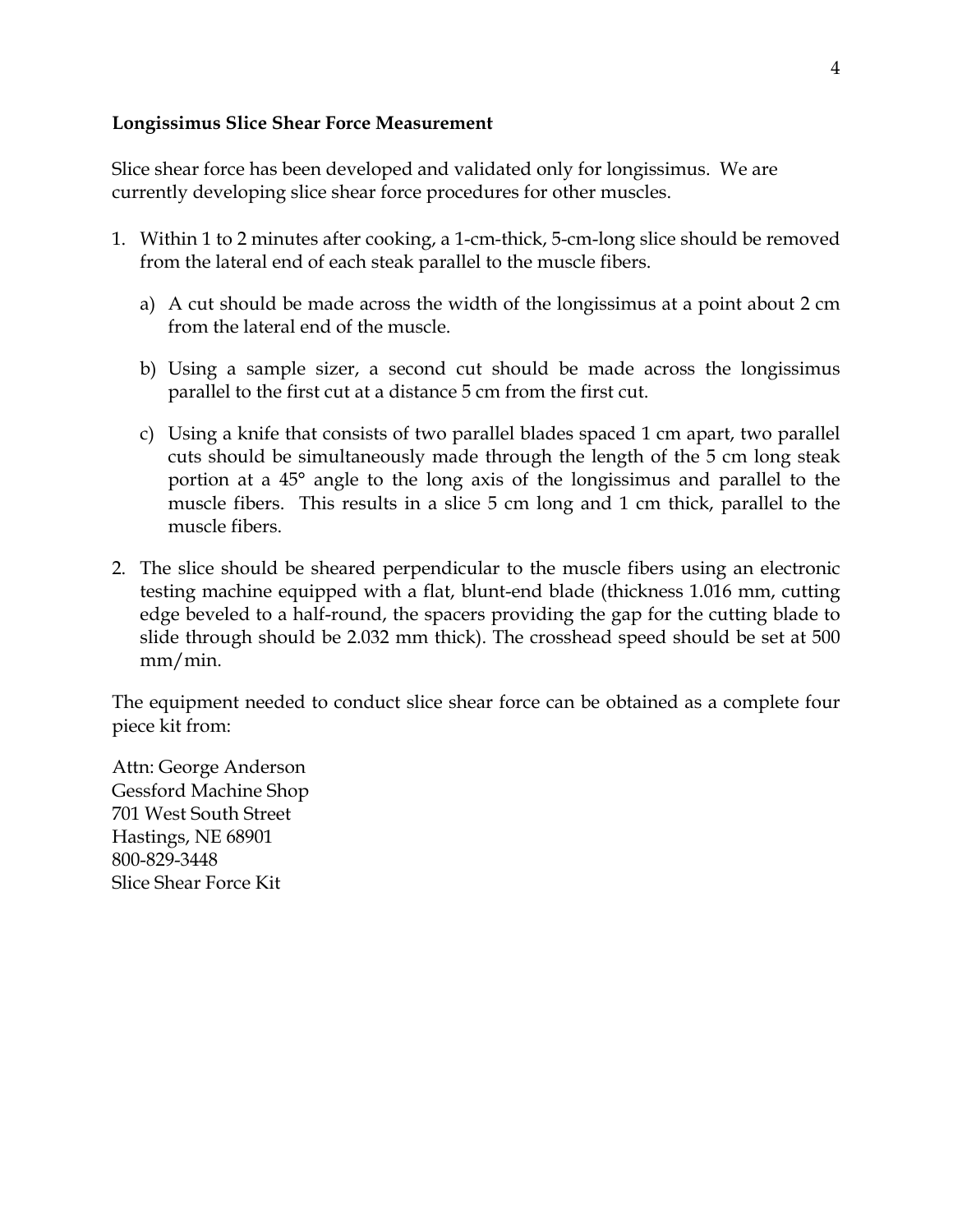# **Longissimus Slice Shear Force Measurement**

Slice shear force has been developed and validated only for longissimus. We are currently developing slice shear force procedures for other muscles.

- 1. Within 1 to 2 minutes after cooking, a 1-cm-thick, 5-cm-long slice should be removed from the lateral end of each steak parallel to the muscle fibers.
	- a) A cut should be made across the width of the longissimus at a point about 2 cm from the lateral end of the muscle.
	- b) Using a sample sizer, a second cut should be made across the longissimus parallel to the first cut at a distance 5 cm from the first cut.
	- c) Using a knife that consists of two parallel blades spaced 1 cm apart, two parallel cuts should be simultaneously made through the length of the 5 cm long steak portion at a 45° angle to the long axis of the longissimus and parallel to the muscle fibers. This results in a slice 5 cm long and 1 cm thick, parallel to the muscle fibers.
- 2. The slice should be sheared perpendicular to the muscle fibers using an electronic testing machine equipped with a flat, blunt-end blade (thickness 1.016 mm, cutting edge beveled to a half-round, the spacers providing the gap for the cutting blade to slide through should be 2.032 mm thick). The crosshead speed should be set at 500 mm/min.

The equipment needed to conduct slice shear force can be obtained as a complete four piece kit from:

Attn: George Anderson Gessford Machine Shop 701 West South Street Hastings, NE 68901 800-829-3448 Slice Shear Force Kit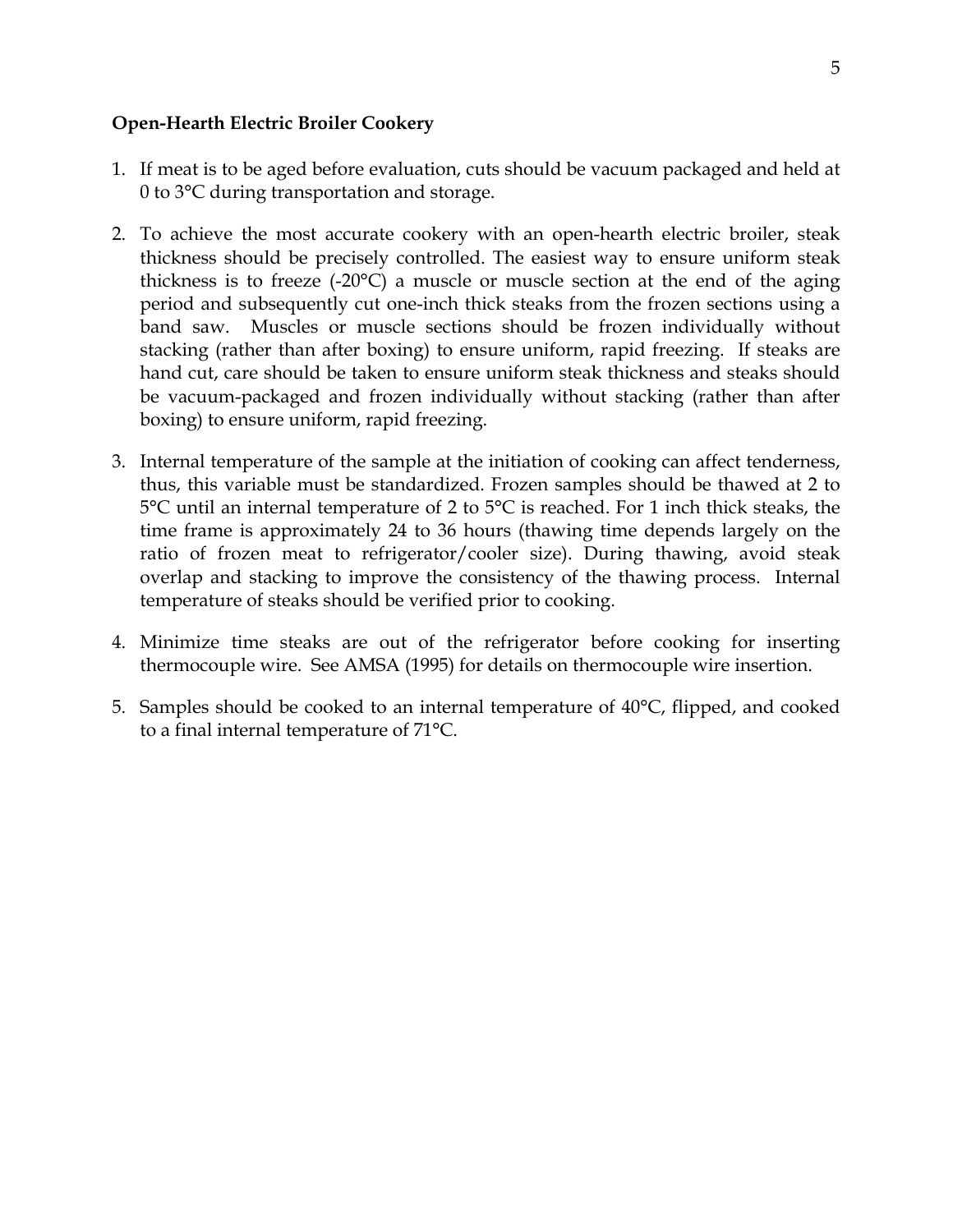# **Open-Hearth Electric Broiler Cookery**

- 1. If meat is to be aged before evaluation, cuts should be vacuum packaged and held at 0 to 3°C during transportation and storage.
- 2. To achieve the most accurate cookery with an open-hearth electric broiler, steak thickness should be precisely controlled. The easiest way to ensure uniform steak thickness is to freeze (-20°C) a muscle or muscle section at the end of the aging period and subsequently cut one-inch thick steaks from the frozen sections using a band saw. Muscles or muscle sections should be frozen individually without stacking (rather than after boxing) to ensure uniform, rapid freezing. If steaks are hand cut, care should be taken to ensure uniform steak thickness and steaks should be vacuum-packaged and frozen individually without stacking (rather than after boxing) to ensure uniform, rapid freezing.
- 3. Internal temperature of the sample at the initiation of cooking can affect tenderness, thus, this variable must be standardized. Frozen samples should be thawed at 2 to 5°C until an internal temperature of 2 to 5°C is reached. For 1 inch thick steaks, the time frame is approximately 24 to 36 hours (thawing time depends largely on the ratio of frozen meat to refrigerator/cooler size). During thawing, avoid steak overlap and stacking to improve the consistency of the thawing process. Internal temperature of steaks should be verified prior to cooking.
- 4. Minimize time steaks are out of the refrigerator before cooking for inserting thermocouple wire. See AMSA (1995) for details on thermocouple wire insertion.
- 5. Samples should be cooked to an internal temperature of 40°C, flipped, and cooked to a final internal temperature of 71°C.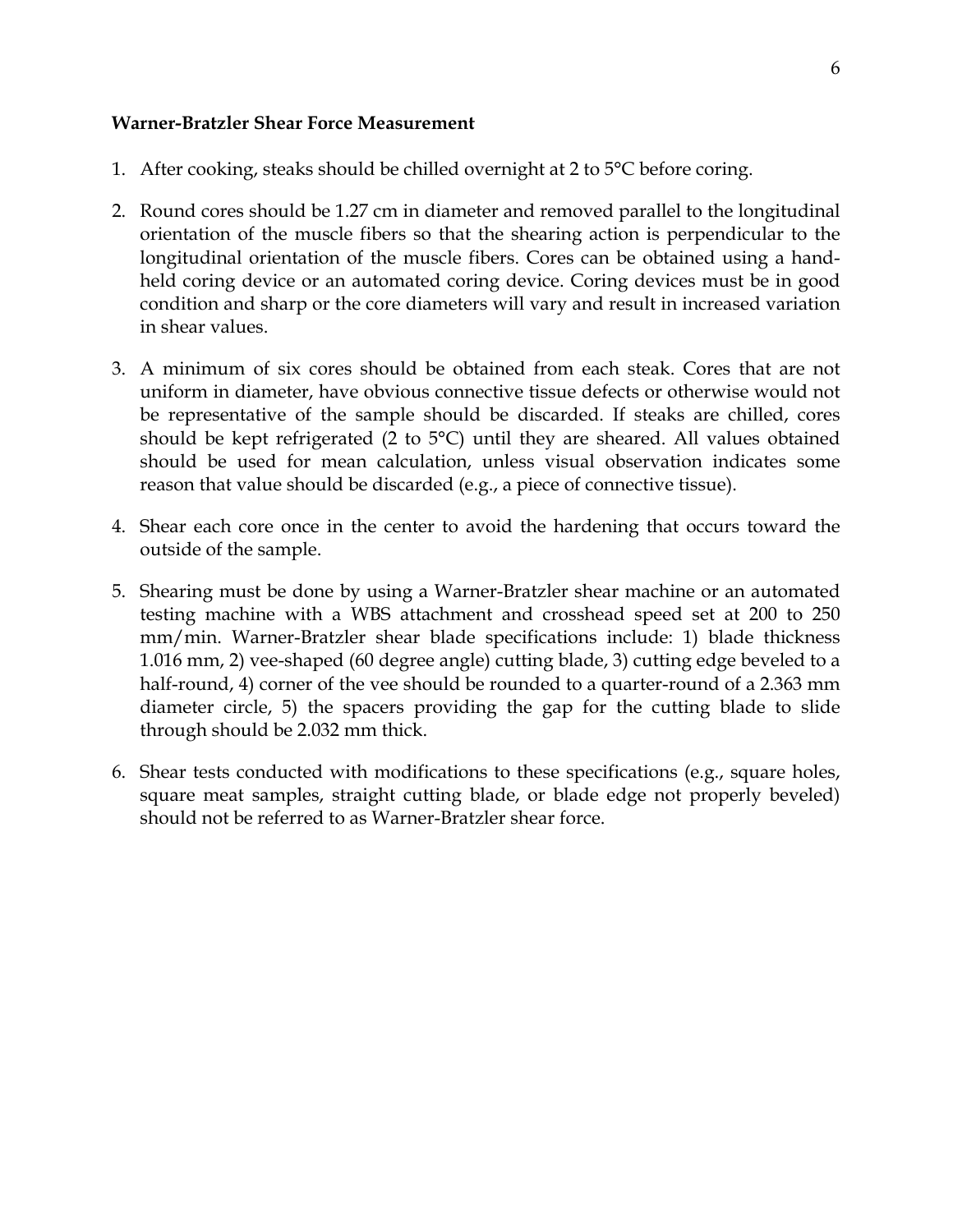#### **Warner-Bratzler Shear Force Measurement**

- 1. After cooking, steaks should be chilled overnight at 2 to  $5^{\circ}$ C before coring.
- 2. Round cores should be 1.27 cm in diameter and removed parallel to the longitudinal orientation of the muscle fibers so that the shearing action is perpendicular to the longitudinal orientation of the muscle fibers. Cores can be obtained using a handheld coring device or an automated coring device. Coring devices must be in good condition and sharp or the core diameters will vary and result in increased variation in shear values.
- 3. A minimum of six cores should be obtained from each steak. Cores that are not uniform in diameter, have obvious connective tissue defects or otherwise would not be representative of the sample should be discarded. If steaks are chilled, cores should be kept refrigerated (2 to 5°C) until they are sheared. All values obtained should be used for mean calculation, unless visual observation indicates some reason that value should be discarded (e.g., a piece of connective tissue).
- 4. Shear each core once in the center to avoid the hardening that occurs toward the outside of the sample.
- 5. Shearing must be done by using a Warner-Bratzler shear machine or an automated testing machine with a WBS attachment and crosshead speed set at 200 to 250 mm/min. Warner-Bratzler shear blade specifications include: 1) blade thickness 1.016 mm, 2) vee-shaped (60 degree angle) cutting blade, 3) cutting edge beveled to a half-round, 4) corner of the vee should be rounded to a quarter-round of a 2.363 mm diameter circle, 5) the spacers providing the gap for the cutting blade to slide through should be 2.032 mm thick.
- 6. Shear tests conducted with modifications to these specifications (e.g., square holes, square meat samples, straight cutting blade, or blade edge not properly beveled) should not be referred to as Warner-Bratzler shear force.